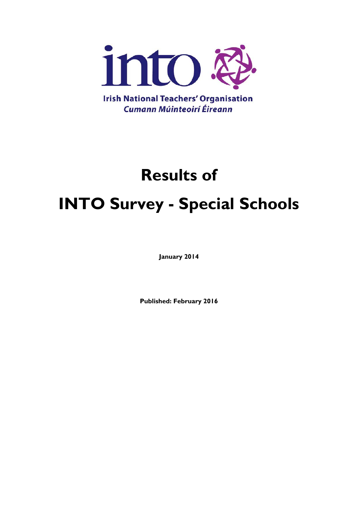

# **Results of INTO Survey - Special Schools**

**January 2014**

**Published: February 2016**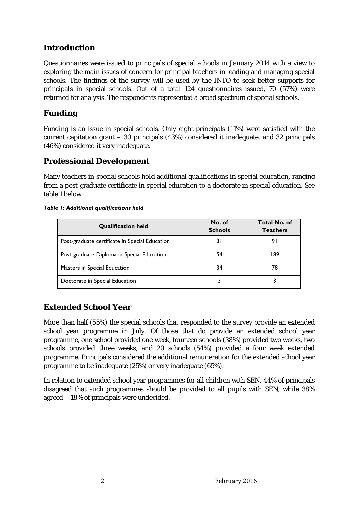## **Introduction**

Questionnaires were issued to principals of special schools in January 2014 with a view to exploring the main issues of concern for principal teachers in leading and managing special schools. The findings of the survey will be used by the INTO to seek better supports for principals in special schools. Out of a total 124 questionnaires issued, 70 (57%) were returned for analysis. The respondents represented a broad spectrum of special schools.

#### **Funding**

Funding is an issue in special schools. Only eight principals (11%) were satisfied with the current capitation grant – 30 principals (43%) considered it inadequate, and 32 principals (46%) considered it very inadequate.

#### **Professional Development**

Many teachers in special schools hold additional qualifications in special education, ranging from a post-graduate certificate in special education to a doctorate in special education. See table 1 below.

| <b>Qualification held</b>                      | No. of<br><b>Schools</b> | <b>Total No. of</b><br><b>Teachers</b> |
|------------------------------------------------|--------------------------|----------------------------------------|
| Post-graduate certificate in Special Education | 3 I                      | 91                                     |
| Post-graduate Diploma in Special Education     | 54                       | 189                                    |
| Masters in Special Education                   | 34                       | 78                                     |
| Doctorate in Special Education                 |                          |                                        |

#### *Table 1: Additional qualifications held*

## **Extended School Year**

More than half (55%) the special schools that responded to the survey provide an extended school year programme in July. Of those that do provide an extended school year programme, one school provided one week, fourteen schools (38%) provided two weeks, two schools provided three weeks, and 20 schools (54%) provided a four week extended programme. Principals considered the additional remuneration for the extended school year programme to be inadequate (25%) or very inadequate (65%).

In relation to extended school year programmes for all children with SEN, 44% of principals disagreed that such programmes should be provided to all pupils with SEN, while 38% agreed – 18% of principals were undecided.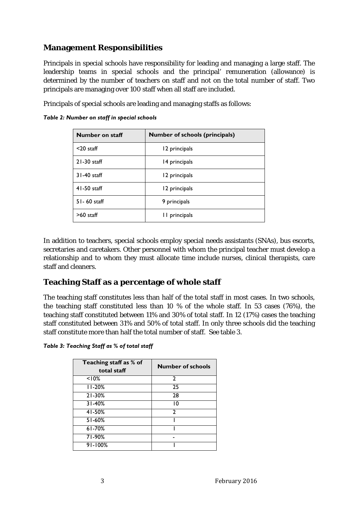#### **Management Responsibilities**

Principals in special schools have responsibility for leading and managing a large staff. The leadership teams in special schools and the principal' remuneration (allowance) is determined by the number of teachers on staff and not on the total number of staff. Two principals are managing over 100 staff when all staff are included.

Principals of special schools are leading and managing staffs as follows:

*Table 2: Number on staff in special schools*

| Number on staff | <b>Number of schools (principals)</b> |
|-----------------|---------------------------------------|
| $<$ 20 staff    | 12 principals                         |
| $21-30$ staff   | 14 principals                         |
| 31-40 staff     | 12 principals                         |
| $41-50$ staff   | 12 principals                         |
| $51 - 60$ staff | 9 principals                          |
| $>60$ staff     | II principals                         |

In addition to teachers, special schools employ special needs assistants (SNAs), bus escorts, secretaries and caretakers. Other personnel with whom the principal teacher must develop a relationship and to whom they must allocate time include nurses, clinical therapists, care staff and cleaners.

#### **Teaching Staff as a percentage of whole staff**

The teaching staff constitutes less than half of the total staff in most cases. In two schools, the teaching staff constituted less than 10 % of the whole staff. In 53 cases (76%), the teaching staff constituted between 11% and 30% of total staff. In 12 (17%) cases the teaching staff constituted between 31% and 50% of total staff. In only three schools did the teaching staff constitute more than half the total number of staff. See table 3.

*Table 3: Teaching Staff as % of total staff*

| Teaching staff as % of<br>total staff | <b>Number of schools</b> |
|---------------------------------------|--------------------------|
| < 10%                                 | $\mathbf{2}$             |
| $11-20%$                              | 25                       |
| $21 - 30%$                            | 28                       |
| $31 - 40\%$                           | 10                       |
| 41-50%                                | 2                        |
| $51 - 60\%$                           |                          |
| $61 - 70%$                            |                          |
| 71-90%                                |                          |
| $91 - 100%$                           |                          |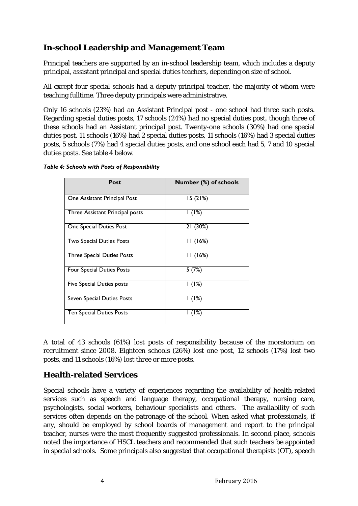## **In-school Leadership and Management Team**

Principal teachers are supported by an in-school leadership team, which includes a deputy principal, assistant principal and special duties teachers, depending on size of school.

All except four special schools had a deputy principal teacher, the majority of whom were teaching fulltime. Three deputy principals were administrative.

Only 16 schools (23%) had an Assistant Principal post - one school had three such posts. Regarding special duties posts, 17 schools (24%) had no special duties post, though three of these schools had an Assistant principal post. Twenty-one schools (30%) had one special duties post, 11 schools (16%) had 2 special duties posts, 11 schools (16%) had 3 special duties posts, 5 schools (7%) had 4 special duties posts, and one school each had 5, 7 and 10 special duties posts. See table 4 below.

#### *Table 4: Schools with Posts of Responsibility*

| Post                              | Number (%) of schools |
|-----------------------------------|-----------------------|
| One Assistant Principal Post      | 15(21%)               |
| Three Assistant Principal posts   | 1(1%)                 |
| One Special Duties Post           | 21 (30%)              |
| Two Special Duties Posts          | 11(16%)               |
| <b>Three Special Duties Posts</b> | 11(16%)               |
| Four Special Duties Posts         | 5(7%)                 |
| Five Special Duties posts         | 1(1%)                 |
| Seven Special Duties Posts        | 1(1%)                 |
| <b>Ten Special Duties Posts</b>   | I (1%)                |

A total of 43 schools (61%) lost posts of responsibility because of the moratorium on recruitment since 2008. Eighteen schools (26%) lost one post, 12 schools (17%) lost two posts, and 11 schools (16%) lost three or more posts.

#### **Health-related Services**

Special schools have a variety of experiences regarding the availability of health-related services such as speech and language therapy, occupational therapy, nursing care, psychologists, social workers, behaviour specialists and others. The availability of such services often depends on the patronage of the school. When asked what professionals, if any, should be employed by school boards of management and report to the principal teacher, nurses were the most frequently suggested professionals. In second place, schools noted the importance of HSCL teachers and recommended that such teachers be appointed in special schools. Some principals also suggested that occupational therapists (OT), speech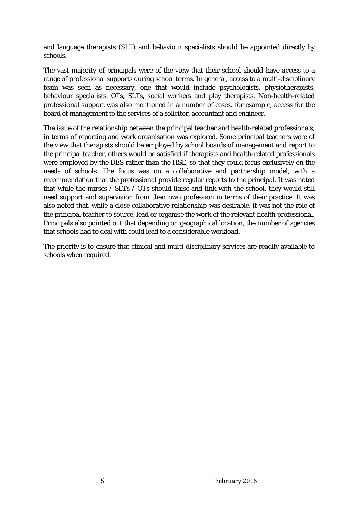and language therapists (SLT) and behaviour specialists should be appointed directly by schools.

The vast majority of principals were of the view that their school should have *access* to a range of professional supports during school terms. In general, access to a multi-disciplinary team was seen as necessary, one that would include psychologists, physiotherapists, behaviour specialists, OTs, SLTs, social workers and play therapists. Non-health-related professional support was also mentioned in a number of cases, for example, access for the board of management to the services of a solicitor, accountant and engineer.

The issue of the relationship between the principal teacher and health-related professionals, in terms of reporting and work organisation was explored. Some principal teachers were of the view that therapists should be employed by school boards of management and report to the principal teacher, others would be satisfied if therapists and health-related professionals were employed by the DES rather than the HSE, so that they could focus exclusively on the needs of schools. The focus was on a collaborative and partnership model, with a recommendation that the professional provide regular reports to the principal. It was noted that while the nurses / SLTs / OTs should liaise and link with the school, they would still need support and supervision from their own profession in terms of their practice. It was also noted that, while a close collaborative relationship was desirable, it was not the role of the principal teacher to source, lead or organise the work of the relevant health professional. Principals also pointed out that depending on geographical location, the number of agencies that schools had to deal with could lead to a considerable workload.

The priority is to ensure that clinical and multi-disciplinary services are readily available to schools when required.